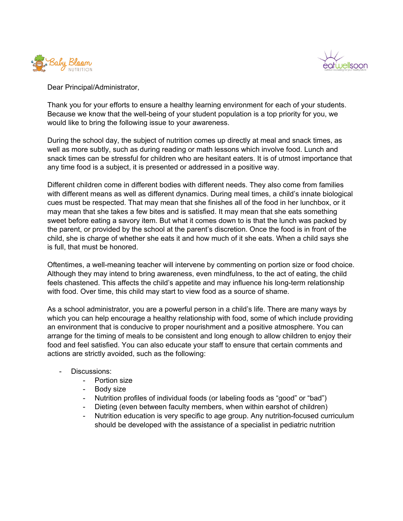



Dear Principal/Administrator,

Thank you for your efforts to ensure a healthy learning environment for each of your students. Because we know that the well-being of your student population is a top priority for you, we would like to bring the following issue to your awareness.

During the school day, the subject of nutrition comes up directly at meal and snack times, as well as more subtly, such as during reading or math lessons which involve food. Lunch and snack times can be stressful for children who are hesitant eaters. It is of utmost importance that any time food is a subject, it is presented or addressed in a positive way.

Different children come in different bodies with different needs. They also come from families with different means as well as different dynamics. During meal times, a child's innate biological cues must be respected. That may mean that she finishes all of the food in her lunchbox, or it may mean that she takes a few bites and is satisfied. It may mean that she eats something sweet before eating a savory item. But what it comes down to is that the lunch was packed by the parent, or provided by the school at the parent's discretion. Once the food is in front of the child, she is charge of whether she eats it and how much of it she eats. When a child says she is full, that must be honored.

Oftentimes, a well-meaning teacher will intervene by commenting on portion size or food choice. Although they may intend to bring awareness, even mindfulness, to the act of eating, the child feels chastened. This affects the child's appetite and may influence his long-term relationship with food. Over time, this child may start to view food as a source of shame.

As a school administrator, you are a powerful person in a child's life. There are many ways by which you can help encourage a healthy relationship with food, some of which include providing an environment that is conducive to proper nourishment and a positive atmosphere. You can arrange for the timing of meals to be consistent and long enough to allow children to enjoy their food and feel satisfied. You can also educate your staff to ensure that certain comments and actions are strictly avoided, such as the following:

- Discussions:
	- Portion size
	- Body size
	- Nutrition profiles of individual foods (or labeling foods as "good" or "bad")
	- Dieting (even between faculty members, when within earshot of children)
	- Nutrition education is very specific to age group. Any nutrition-focused curriculum should be developed with the assistance of a specialist in pediatric nutrition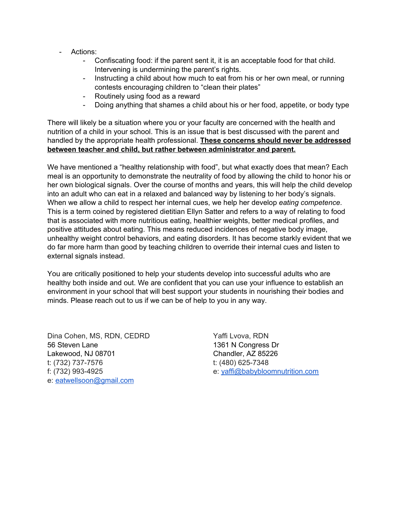- Actions:
	- Confiscating food: if the parent sent it, it is an acceptable food for that child. Intervening is undermining the parent's rights.
	- Instructing a child about how much to eat from his or her own meal, or running contests encouraging children to "clean their plates"
	- Routinely using food as a reward
	- Doing anything that shames a child about his or her food, appetite, or body type

There will likely be a situation where you or your faculty are concerned with the health and nutrition of a child in your school. This is an issue that is best discussed with the parent and handled by the appropriate health professional. **These concerns should never be addressed between teacher and child, but rather between administrator and parent.**

We have mentioned a "healthy relationship with food", but what exactly does that mean? Each meal is an opportunity to demonstrate the neutrality of food by allowing the child to honor his or her own biological signals. Over the course of months and years, this will help the child develop into an adult who can eat in a relaxed and balanced way by listening to her body's signals. When we allow a child to respect her internal cues, we help her develop *eating competence*. This is a term coined by registered dietitian Ellyn Satter and refers to a way of relating to food that is associated with more nutritious eating, healthier weights, better medical profiles, and positive attitudes about eating. This means reduced incidences of negative body image, unhealthy weight control behaviors, and eating disorders. It has become starkly evident that we do far more harm than good by teaching children to override their internal cues and listen to external signals instead.

You are critically positioned to help your students develop into successful adults who are healthy both inside and out. We are confident that you can use your influence to establish an environment in your school that will best support your students in nourishing their bodies and minds. Please reach out to us if we can be of help to you in any way.

Dina Cohen, MS, RDN, CEDRD 56 Steven Lane Lakewood, NJ 08701 t: (732) 737-7576 f: (732) 993-4925 e: [eatwellsoon@gmail.com](mailto:eatwellsoon@gmail.com)

Yaffi Lvova, RDN 1361 N Congress Dr Chandler, AZ 85226 t: (480) 625-7348 e: [yaffi@babybloomnutrition.com](mailto:yaffi@babybloomnutrition.com)